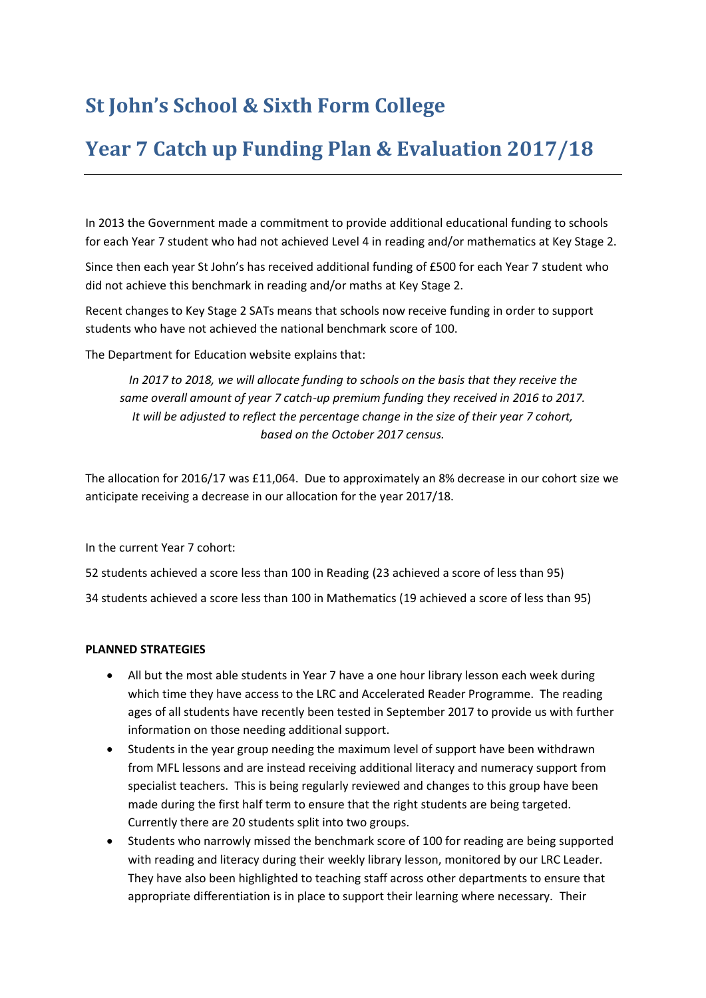## **St John's School & Sixth Form College**

## **Year 7 Catch up Funding Plan & Evaluation 2017/18**

In 2013 the Government made a commitment to provide additional educational funding to schools for each Year 7 student who had not achieved Level 4 in reading and/or mathematics at Key Stage 2.

Since then each year St John's has received additional funding of £500 for each Year 7 student who did not achieve this benchmark in reading and/or maths at Key Stage 2.

Recent changes to Key Stage 2 SATs means that schools now receive funding in order to support students who have not achieved the national benchmark score of 100.

The Department for Education website explains that:

*In 2017 to 2018, we will allocate funding to schools on the basis that they receive the same overall amount of year 7 catch-up premium funding they received in 2016 to 2017. It will be adjusted to reflect the percentage change in the size of their year 7 cohort, based on the October 2017 census.*

The allocation for 2016/17 was £11,064. Due to approximately an 8% decrease in our cohort size we anticipate receiving a decrease in our allocation for the year 2017/18.

In the current Year 7 cohort:

52 students achieved a score less than 100 in Reading (23 achieved a score of less than 95)

34 students achieved a score less than 100 in Mathematics (19 achieved a score of less than 95)

## **PLANNED STRATEGIES**

- All but the most able students in Year 7 have a one hour library lesson each week during which time they have access to the LRC and Accelerated Reader Programme. The reading ages of all students have recently been tested in September 2017 to provide us with further information on those needing additional support.
- Students in the year group needing the maximum level of support have been withdrawn from MFL lessons and are instead receiving additional literacy and numeracy support from specialist teachers. This is being regularly reviewed and changes to this group have been made during the first half term to ensure that the right students are being targeted. Currently there are 20 students split into two groups.
- Students who narrowly missed the benchmark score of 100 for reading are being supported with reading and literacy during their weekly library lesson, monitored by our LRC Leader. They have also been highlighted to teaching staff across other departments to ensure that appropriate differentiation is in place to support their learning where necessary. Their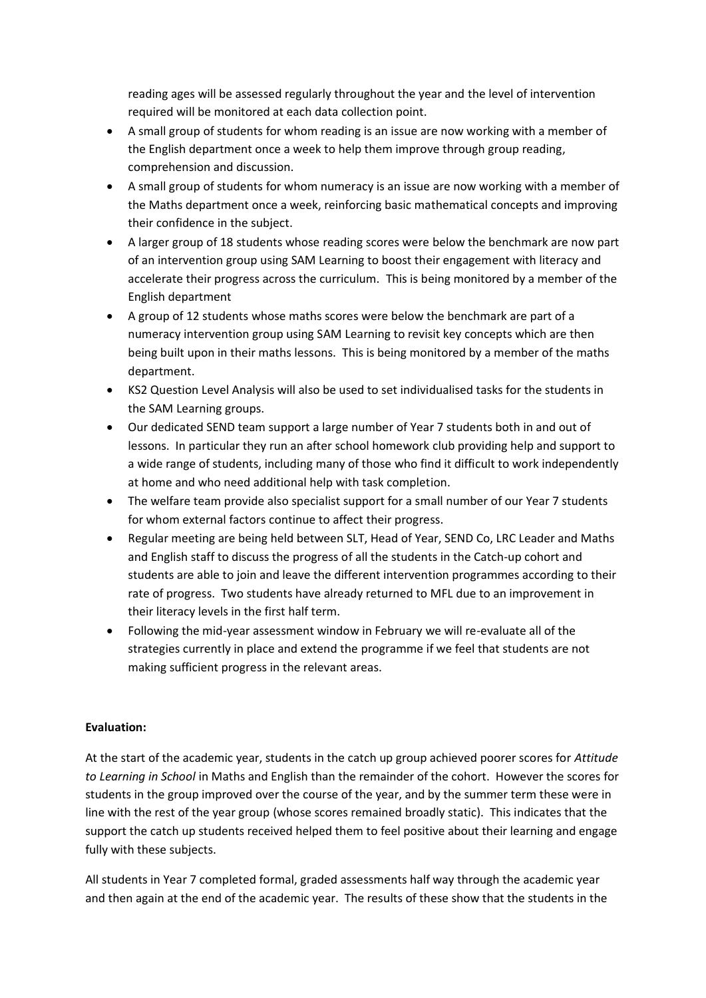reading ages will be assessed regularly throughout the year and the level of intervention required will be monitored at each data collection point.

- A small group of students for whom reading is an issue are now working with a member of the English department once a week to help them improve through group reading, comprehension and discussion.
- A small group of students for whom numeracy is an issue are now working with a member of the Maths department once a week, reinforcing basic mathematical concepts and improving their confidence in the subject.
- A larger group of 18 students whose reading scores were below the benchmark are now part of an intervention group using SAM Learning to boost their engagement with literacy and accelerate their progress across the curriculum. This is being monitored by a member of the English department
- A group of 12 students whose maths scores were below the benchmark are part of a numeracy intervention group using SAM Learning to revisit key concepts which are then being built upon in their maths lessons. This is being monitored by a member of the maths department.
- KS2 Question Level Analysis will also be used to set individualised tasks for the students in the SAM Learning groups.
- Our dedicated SEND team support a large number of Year 7 students both in and out of lessons. In particular they run an after school homework club providing help and support to a wide range of students, including many of those who find it difficult to work independently at home and who need additional help with task completion.
- The welfare team provide also specialist support for a small number of our Year 7 students for whom external factors continue to affect their progress.
- Regular meeting are being held between SLT, Head of Year, SEND Co, LRC Leader and Maths and English staff to discuss the progress of all the students in the Catch-up cohort and students are able to join and leave the different intervention programmes according to their rate of progress. Two students have already returned to MFL due to an improvement in their literacy levels in the first half term.
- Following the mid-year assessment window in February we will re-evaluate all of the strategies currently in place and extend the programme if we feel that students are not making sufficient progress in the relevant areas.

## **Evaluation:**

At the start of the academic year, students in the catch up group achieved poorer scores for *Attitude to Learning in School* in Maths and English than the remainder of the cohort. However the scores for students in the group improved over the course of the year, and by the summer term these were in line with the rest of the year group (whose scores remained broadly static). This indicates that the support the catch up students received helped them to feel positive about their learning and engage fully with these subjects.

All students in Year 7 completed formal, graded assessments half way through the academic year and then again at the end of the academic year. The results of these show that the students in the